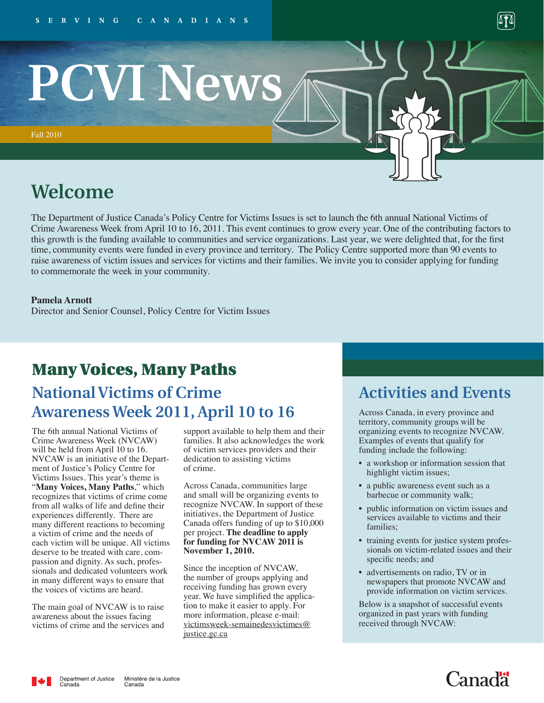

# **PCVI News**

Fall 2010

## **Welcome**

The Department of Justice Canada's Policy Centre for Victims Issues is set to launch the 6th annual National Victims of Crime Awareness Week from April 10 to 16, 2011. This event continues to grow every year. One of the contributing factors to this growth is the funding available to communities and service organizations. Last year, we were delighted that, for the first time, community events were funded in every province and territory. The Policy Centre supported more than 90 events to raise awareness of victim issues and services for victims and their families. We invite you to consider applying for funding to commemorate the week in your community.

#### **Pamela Arnott**

Director and Senior Counsel, Policy Centre for Victim Issues

## Many Voices, Many Paths **National Victims of Crime Awareness Week 2011, April 10 to 16**

The 6th annual National Victims of Crime Awareness Week (NVCAW) will be held from April 10 to 16. NVCAW is an initiative of the Department of Justice's Policy Centre for Victims Issues. This year's theme is "**Many Voices, Many Paths**," which recognizes that victims of crime come from all walks of life and define their experiences differently. There are many different reactions to becoming a victim of crime and the needs of each victim will be unique. All victims deserve to be treated with care, compassion and dignity. As such, professionals and dedicated volunteers work in many different ways to ensure that the voices of victims are heard.

The main goal of NVCAW is to raise awareness about the issues facing victims of crime and the services and support available to help them and their families. It also acknowledges the work of victim services providers and their dedication to assisting victims of crime.

Across Canada, communities large and small will be organizing events to recognize NVCAW. In support of these initiatives, the Department of Justice Canada offers funding of up to \$10,000 per project. **The deadline to apply for funding for NVCAW 2011 is November 1, 2010.**

Since the inception of NVCAW, the number of groups applying and receiving funding has grown every year. We have simplified the application to make it easier to apply. For more information, please e-mail: victimsweek-semainedesvictimes@ justice.gc.ca

## **Activities and Events**

Across Canada, in every province and territory, community groups will be organizing events to recognize NVCAW. Examples of events that qualify for funding include the following:

- a workshop or information session that highlight victim issues;
- a public awareness event such as a barbecue or community walk;
- public information on victim issues and services available to victims and their families;
- training events for justice system professionals on victim-related issues and their specific needs; and
- advertisements on radio, TV or in newspapers that promote NVCAW and provide information on victim services.

Below is a snapshot of successful events organized in past years with funding received through NVCAW: